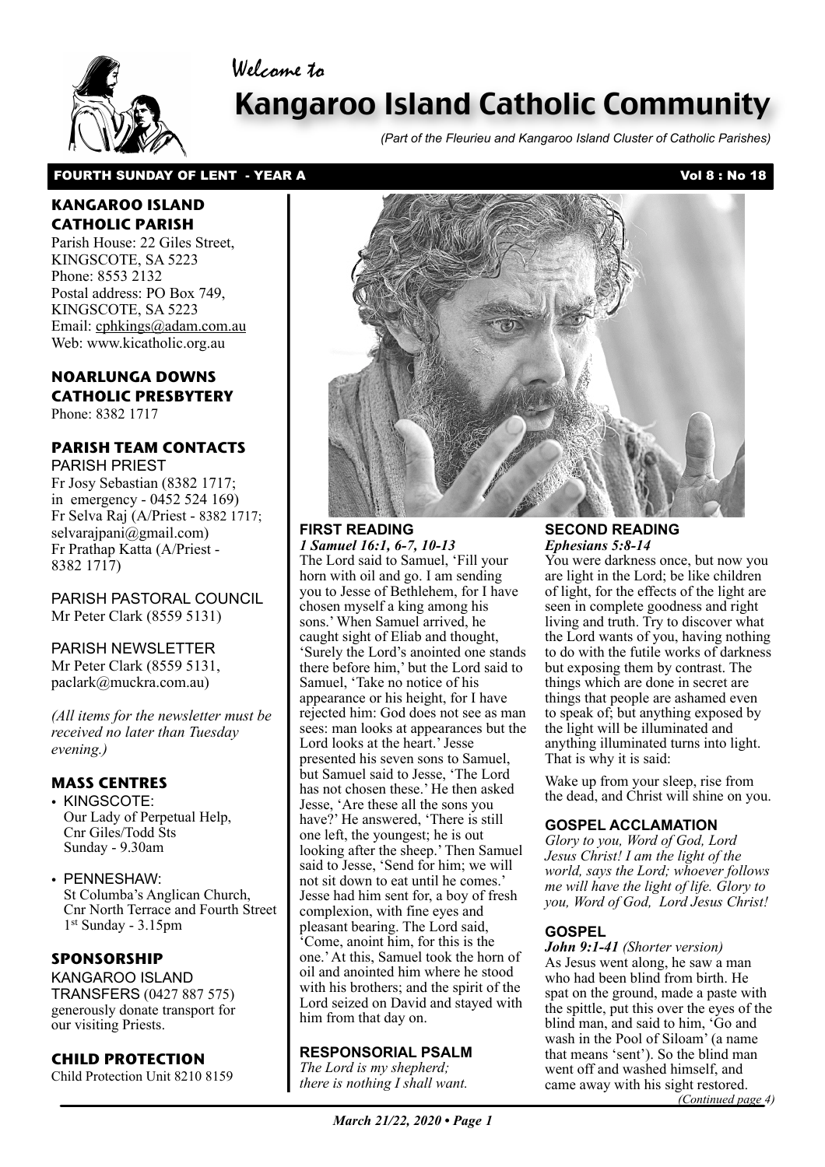Welcome to



# Kangaroo Island Catholic Community

*(Part of the Fleurieu and Kangaroo Island Cluster of Catholic Parishes)*

## FOURTH SUNDAY OF LENT - YEAR A Vol 8 : No 18

## **KANGAROO ISLAND CATHOLIC PARISH**

Parish House: 22 Giles Street, KINGSCOTE, SA 5223 Phone: 8553 2132 Postal address: PO Box 749, KINGSCOTE, SA 5223 Email: cphkings@adam.com.au Web: www.kicatholic.org.au

## **NOARLUNGA DOWNS CATHOLIC PRESBYTERY**

Phone: 8382 1717

#### **PARISH TEAM CONTACTS** PARISH PRIEST

Fr Josy Sebastian (8382 1717; in emergency - 0452 524 169) Fr Selva Raj (A/Priest - 8382 1717; selvarajpani@gmail.com) Fr Prathap Katta (A/Priest - 8382 1717)

PARISH PASTORAL COUNCIL Mr Peter Clark (8559 5131)

## PARISH NEWSLETTER

Mr Peter Clark (8559 5131, paclark@muckra.com.au)

*(All items for the newsletter must be received no later than Tuesday evening.)*

## **MASS CENTRES**

- KINGSCOTE: Our Lady of Perpetual Help, Cnr Giles/Todd Sts Sunday - 9.30am
- PENNESHAW: St Columba's Anglican Church, Cnr North Terrace and Fourth Street 1st Sunday - 3.15pm

## **SPONSORSHIP**

KANGAROO ISLAND TRANSFERS (0427 887 575) generously donate transport for our visiting Priests.

## **CHILD PROTECTION**

Child Protection Unit 8210 8159



#### **FIRST READING** *1 Samuel 16:1, 6-7, 10-13* The Lord said to Samuel, 'Fill your horn with oil and go. I am sending you to Jesse of Bethlehem, for I have chosen myself a king among his sons.' When Samuel arrived, he caught sight of Eliab and thought, 'Surely the Lord's anointed one stands there before him,' but the Lord said to Samuel, 'Take no notice of his appearance or his height, for I have rejected him: God does not see as man sees: man looks at appearances but the Lord looks at the heart.' Jesse presented his seven sons to Samuel, but Samuel said to Jesse, 'The Lord has not chosen these.' He then asked Jesse, 'Are these all the sons you have?' He answered, 'There is still one left, the youngest; he is out looking after the sheep.' Then Samuel said to Jesse, 'Send for him; we will not sit down to eat until he comes.' Jesse had him sent for, a boy of fresh complexion, with fine eyes and pleasant bearing. The Lord said, 'Come, anoint him, for this is the

one.' At this, Samuel took the horn of oil and anointed him where he stood with his brothers; and the spirit of the Lord seized on David and stayed with him from that day on.

## **RESPONSORIAL PSALM**

*The Lord is my shepherd; there is nothing I shall want.*

## **SECOND READING** *Ephesians 5:8-14*

You were darkness once, but now you are light in the Lord; be like children of light, for the effects of the light are seen in complete goodness and right living and truth. Try to discover what the Lord wants of you, having nothing to do with the futile works of darkness but exposing them by contrast. The things which are done in secret are things that people are ashamed even to speak of; but anything exposed by the light will be illuminated and anything illuminated turns into light. That is why it is said:

Wake up from your sleep, rise from the dead, and Christ will shine on you.

## **GOSPEL ACCLAMATION**

*Glory to you, Word of God, Lord Jesus Christ! I am the light of the world, says the Lord; whoever follows me will have the light of life. Glory to you, Word of God, Lord Jesus Christ!*

## **GOSPEL**

*John 9:1-41 (Shorter version)* As Jesus went along, he saw a man who had been blind from birth. He spat on the ground, made a paste with the spittle, put this over the eyes of the blind man, and said to him, 'Go and wash in the Pool of Siloam' (a name that means 'sent'). So the blind man went off and washed himself, and came away with his sight restored. *(Continued page 4)*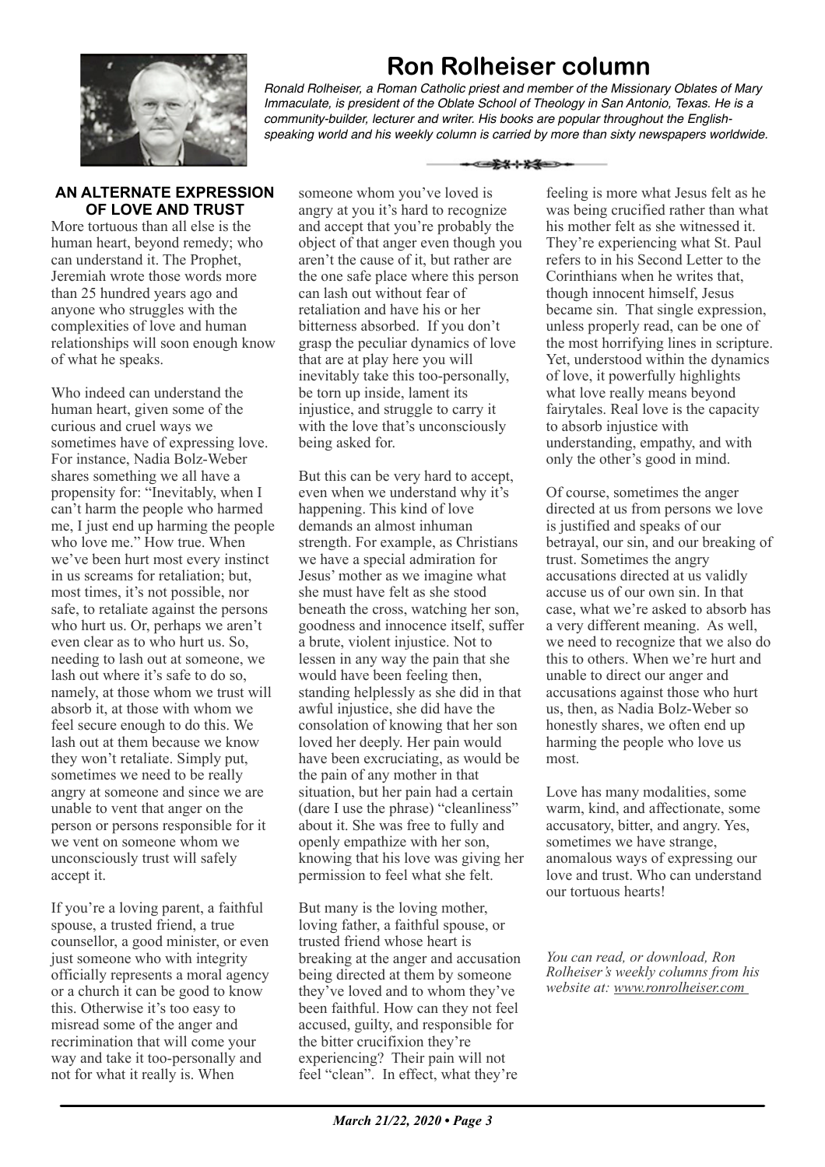

**Ron Rolheiser column**

*Ronald Rolheiser, a Roman Catholic priest and member of the Missionary Oblates of Mary Immaculate, is president of the Oblate School of Theology in San Antonio, Texas. He is a community-builder, lecturer and writer. His books are popular throughout the Englishspeaking world and his weekly column is carried by more than sixty newspapers worldwide.*

▅<del>⋭</del>⋇⊹⋇⋬═⋗

## **AN ALTERNATE EXPRESSION OF LOVE AND TRUST**

More tortuous than all else is the human heart, beyond remedy; who can understand it. The Prophet, Jeremiah wrote those words more than 25 hundred years ago and anyone who struggles with the complexities of love and human relationships will soon enough know of what he speaks.

Who indeed can understand the human heart, given some of the curious and cruel ways we sometimes have of expressing love. For instance, Nadia Bolz-Weber shares something we all have a propensity for: "Inevitably, when I can't harm the people who harmed me, I just end up harming the people who love me." How true. When we've been hurt most every instinct in us screams for retaliation; but, most times, it's not possible, nor safe, to retaliate against the persons who hurt us. Or, perhaps we aren't even clear as to who hurt us. So, needing to lash out at someone, we lash out where it's safe to do so, namely, at those whom we trust will absorb it, at those with whom we feel secure enough to do this. We lash out at them because we know they won't retaliate. Simply put, sometimes we need to be really angry at someone and since we are unable to vent that anger on the person or persons responsible for it we vent on someone whom we unconsciously trust will safely accept it.

If you're a loving parent, a faithful spouse, a trusted friend, a true counsellor, a good minister, or even just someone who with integrity officially represents a moral agency or a church it can be good to know this. Otherwise it's too easy to misread some of the anger and recrimination that will come your way and take it too-personally and not for what it really is. When

someone whom you've loved is angry at you it's hard to recognize and accept that you're probably the object of that anger even though you aren't the cause of it, but rather are the one safe place where this person can lash out without fear of retaliation and have his or her bitterness absorbed. If you don't grasp the peculiar dynamics of love that are at play here you will inevitably take this too-personally, be torn up inside, lament its injustice, and struggle to carry it with the love that's unconsciously being asked for.

But this can be very hard to accept, even when we understand why it's happening. This kind of love demands an almost inhuman strength. For example, as Christians we have a special admiration for Jesus' mother as we imagine what she must have felt as she stood beneath the cross, watching her son, goodness and innocence itself, suffer a brute, violent injustice. Not to lessen in any way the pain that she would have been feeling then, standing helplessly as she did in that awful injustice, she did have the consolation of knowing that her son loved her deeply. Her pain would have been excruciating, as would be the pain of any mother in that situation, but her pain had a certain (dare I use the phrase) "cleanliness" about it. She was free to fully and openly empathize with her son, knowing that his love was giving her permission to feel what she felt.

But many is the loving mother, loving father, a faithful spouse, or trusted friend whose heart is breaking at the anger and accusation being directed at them by someone they've loved and to whom they've been faithful. How can they not feel accused, guilty, and responsible for the bitter crucifixion they're experiencing? Their pain will not feel "clean". In effect, what they're

feeling is more what Jesus felt as he was being crucified rather than what his mother felt as she witnessed it. They're experiencing what St. Paul refers to in his Second Letter to the Corinthians when he writes that, though innocent himself, Jesus became sin. That single expression, unless properly read, can be one of the most horrifying lines in scripture. Yet, understood within the dynamics of love, it powerfully highlights what love really means beyond fairytales. Real love is the capacity to absorb injustice with understanding, empathy, and with only the other's good in mind.

Of course, sometimes the anger directed at us from persons we love is justified and speaks of our betrayal, our sin, and our breaking of trust. Sometimes the angry accusations directed at us validly accuse us of our own sin. In that case, what we're asked to absorb has a very different meaning. As well, we need to recognize that we also do this to others. When we're hurt and unable to direct our anger and accusations against those who hurt us, then, as Nadia Bolz-Weber so honestly shares, we often end up harming the people who love us most.

Love has many modalities, some warm, kind, and affectionate, some accusatory, bitter, and angry. Yes, sometimes we have strange, anomalous ways of expressing our love and trust. Who can understand our tortuous hearts!

*You can read, or download, Ron Rolheiser's weekly columns from his website at: www.ronrolheiser.com*